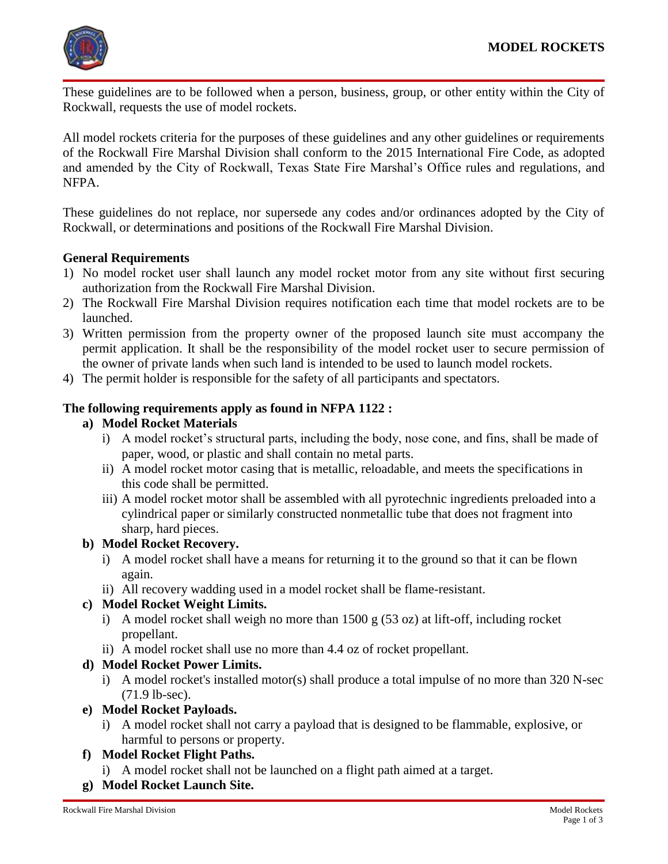

These guidelines are to be followed when a person, business, group, or other entity within the City of Rockwall, requests the use of model rockets.

All model rockets criteria for the purposes of these guidelines and any other guidelines or requirements of the Rockwall Fire Marshal Division shall conform to the 2015 International Fire Code, as adopted and amended by the City of Rockwall, Texas State Fire Marshal's Office rules and regulations, and NFPA.

These guidelines do not replace, nor supersede any codes and/or ordinances adopted by the City of Rockwall, or determinations and positions of the Rockwall Fire Marshal Division.

### **General Requirements**

- 1) No model rocket user shall launch any model rocket motor from any site without first securing authorization from the Rockwall Fire Marshal Division.
- 2) The Rockwall Fire Marshal Division requires notification each time that model rockets are to be launched.
- 3) Written permission from the property owner of the proposed launch site must accompany the permit application. It shall be the responsibility of the model rocket user to secure permission of the owner of private lands when such land is intended to be used to launch model rockets.
- 4) The permit holder is responsible for the safety of all participants and spectators.

#### **The following requirements apply as found in NFPA 1122 :**

#### **a) Model Rocket Materials**

- i) A model rocket's structural parts, including the body, nose cone, and fins, shall be made of paper, wood, or plastic and shall contain no metal parts.
- ii) A model rocket motor casing that is metallic, reloadable, and meets the specifications in this code shall be permitted.
- iii) A model rocket motor shall be assembled with all pyrotechnic ingredients preloaded into a cylindrical paper or similarly constructed nonmetallic tube that does not fragment into sharp, hard pieces.

### **b) Model Rocket Recovery.**

- i) A model rocket shall have a means for returning it to the ground so that it can be flown again.
- ii) All recovery wadding used in a model rocket shall be flame-resistant.

### **c) Model Rocket Weight Limits.**

- i) A model rocket shall weigh no more than  $1500 \text{ g} (53 \text{ oz})$  at lift-off, including rocket propellant.
- ii) A model rocket shall use no more than 4.4 oz of rocket propellant.

### **d) Model Rocket Power Limits.**

- i) A model rocket's installed motor(s) shall produce a total impulse of no more than  $320$  N-sec (71.9 lb-sec).
- **e) Model Rocket Payloads.**
	- i) A model rocket shall not carry a payload that is designed to be flammable, explosive, or harmful to persons or property.

### **f) Model Rocket Flight Paths.**

- i) A model rocket shall not be launched on a flight path aimed at a target.
- **g) Model Rocket Launch Site.**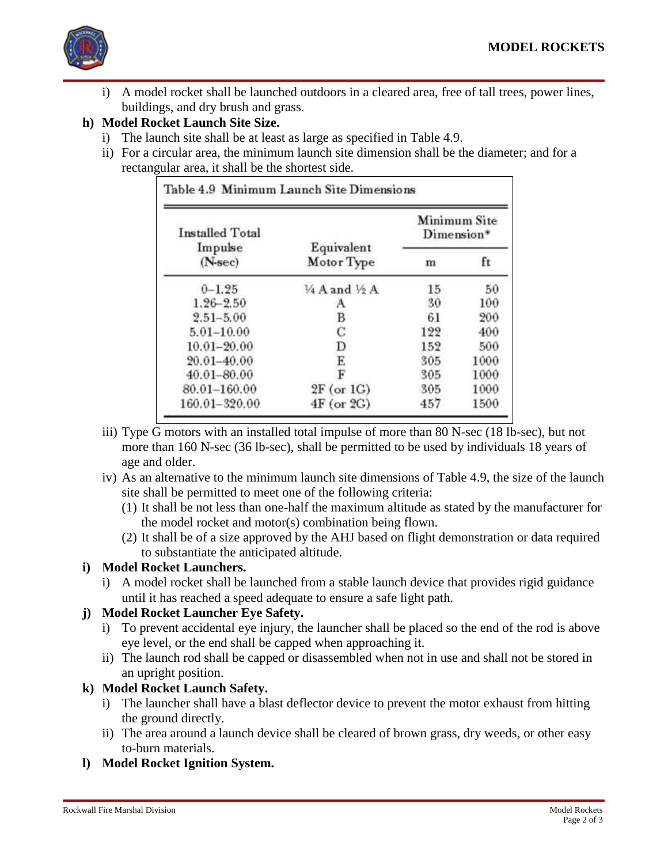

i) A model rocket shall be launched outdoors in a cleared area, free of tall trees, power lines, buildings, and dry brush and grass.

# **h) Model Rocket Launch Site Size.**

- i) The launch site shall be at least as large as specified in Table 4.9.
- ii) For a circular area, the minimum launch site dimension shall be the diameter; and for a rectangular area, it shall be the shortest side.

| <b>Installed Total</b><br>Impulse<br>$(N$ -sec $)$ | Equivalent<br>Motor Type | Minimum Site<br>Dimension* |      |
|----------------------------------------------------|--------------------------|----------------------------|------|
|                                                    |                          | m                          | ft   |
| $0 - 1.25$                                         | 1/4 A and 1/2 A          | 15                         | 50   |
| $1.26 - 2.50$                                      | А                        | 30                         | 100  |
| $2.51 - 5.00$                                      | B                        | 61                         | 200  |
| $5.01 - 10.00$                                     | Ċ                        | 122                        | 400  |
| $10.01 - 20.00$                                    | D                        | 152                        | 500  |
| 20.01-40.00                                        | E                        | 305                        | 1000 |
| 40.01-80.00                                        | F                        | 305                        | 1000 |
| 80.01-160.00                                       | $2F$ (or $1G$ )          | 305                        | 1000 |
| 160.01-320.00                                      | $4F$ (or $2G$ )          | 457                        | 1500 |

- iii) Type G motors with an installed total impulse of more than 80 N-sec (18 lb-sec), but not more than 160 N-sec (36 lb-sec), shall be permitted to be used by individuals 18 years of age and older.
- iv) As an alternative to the minimum launch site dimensions of Table 4.9, the size of the launch site shall be permitted to meet one of the following criteria:
	- (1) It shall be not less than one-half the maximum altitude as stated by the manufacturer for the model rocket and motor(s) combination being flown.
	- (2) It shall be of a size approved by the AHJ based on flight demonstration or data required to substantiate the anticipated altitude.

# **i) Model Rocket Launchers.**

i) A model rocket shall be launched from a stable launch device that provides rigid guidance until it has reached a speed adequate to ensure a safe light path.

# **j) Model Rocket Launcher Eye Safety.**

- i) To prevent accidental eye injury, the launcher shall be placed so the end of the rod is above eye level, or the end shall be capped when approaching it.
- ii) The launch rod shall be capped or disassembled when not in use and shall not be stored in an upright position.

# **k) Model Rocket Launch Safety.**

- i) The launcher shall have a blast deflector device to prevent the motor exhaust from hitting the ground directly.
- ii) The area around a launch device shall be cleared of brown grass, dry weeds, or other easy to-burn materials.
- **l) Model Rocket Ignition System.**